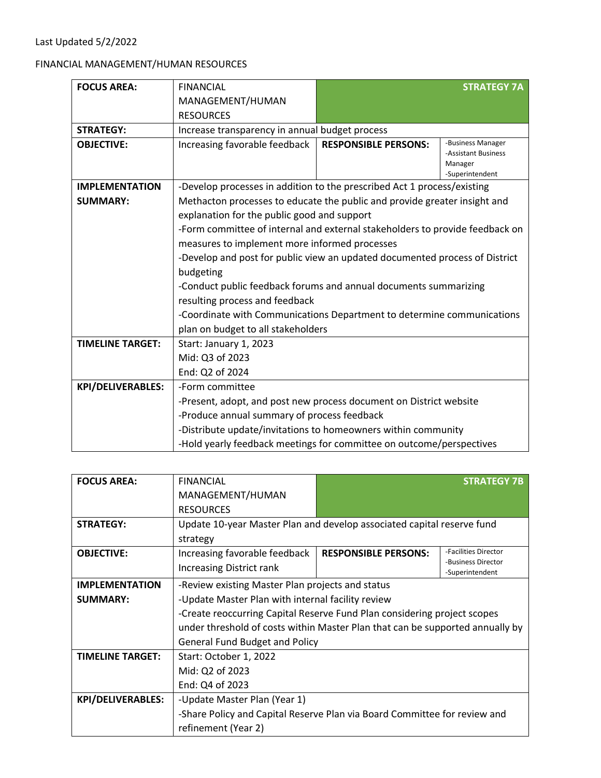## FINANCIAL MANAGEMENT/HUMAN RESOURCES

| <b>FOCUS AREA:</b>       | <b>FINANCIAL</b>                                                             |                             | <b>STRATEGY 7A</b>                                                     |
|--------------------------|------------------------------------------------------------------------------|-----------------------------|------------------------------------------------------------------------|
|                          | MANAGEMENT/HUMAN                                                             |                             |                                                                        |
|                          | <b>RESOURCES</b>                                                             |                             |                                                                        |
| <b>STRATEGY:</b>         | Increase transparency in annual budget process                               |                             |                                                                        |
| <b>OBJECTIVE:</b>        | Increasing favorable feedback                                                | <b>RESPONSIBLE PERSONS:</b> | -Business Manager<br>-Assistant Business<br>Manager<br>-Superintendent |
| <b>IMPLEMENTATION</b>    | -Develop processes in addition to the prescribed Act 1 process/existing      |                             |                                                                        |
| <b>SUMMARY:</b>          | Methacton processes to educate the public and provide greater insight and    |                             |                                                                        |
|                          | explanation for the public good and support                                  |                             |                                                                        |
|                          | -Form committee of internal and external stakeholders to provide feedback on |                             |                                                                        |
|                          | measures to implement more informed processes                                |                             |                                                                        |
|                          | -Develop and post for public view an updated documented process of District  |                             |                                                                        |
|                          | budgeting                                                                    |                             |                                                                        |
|                          | -Conduct public feedback forums and annual documents summarizing             |                             |                                                                        |
|                          | resulting process and feedback                                               |                             |                                                                        |
|                          | -Coordinate with Communications Department to determine communications       |                             |                                                                        |
|                          | plan on budget to all stakeholders                                           |                             |                                                                        |
| <b>TIMELINE TARGET:</b>  | Start: January 1, 2023                                                       |                             |                                                                        |
|                          | Mid: Q3 of 2023                                                              |                             |                                                                        |
|                          | End: Q2 of 2024                                                              |                             |                                                                        |
| <b>KPI/DELIVERABLES:</b> | -Form committee                                                              |                             |                                                                        |
|                          | -Present, adopt, and post new process document on District website           |                             |                                                                        |
|                          | -Produce annual summary of process feedback                                  |                             |                                                                        |
|                          | -Distribute update/invitations to homeowners within community                |                             |                                                                        |
|                          | -Hold yearly feedback meetings for committee on outcome/perspectives         |                             |                                                                        |

| <b>FOCUS AREA:</b>      | <b>FINANCIAL</b>                                                              |                             | <b>STRATEGY 7B</b>   |
|-------------------------|-------------------------------------------------------------------------------|-----------------------------|----------------------|
|                         | MANAGEMENT/HUMAN                                                              |                             |                      |
|                         | <b>RESOURCES</b>                                                              |                             |                      |
| <b>STRATEGY:</b>        | Update 10-year Master Plan and develop associated capital reserve fund        |                             |                      |
|                         | strategy                                                                      |                             |                      |
| <b>OBJECTIVE:</b>       | Increasing favorable feedback                                                 | <b>RESPONSIBLE PERSONS:</b> | -Facilities Director |
|                         | Increasing District rank                                                      |                             | -Business Director   |
| <b>IMPLEMENTATION</b>   |                                                                               |                             | -Superintendent      |
|                         | -Review existing Master Plan projects and status                              |                             |                      |
| <b>SUMMARY:</b>         | -Update Master Plan with internal facility review                             |                             |                      |
|                         | -Create reoccurring Capital Reserve Fund Plan considering project scopes      |                             |                      |
|                         | under threshold of costs within Master Plan that can be supported annually by |                             |                      |
|                         | <b>General Fund Budget and Policy</b>                                         |                             |                      |
| <b>TIMELINE TARGET:</b> | Start: October 1, 2022                                                        |                             |                      |
|                         | Mid: Q2 of 2023                                                               |                             |                      |
|                         | End: Q4 of 2023                                                               |                             |                      |
| KPI/DELIVERABLES:       | -Update Master Plan (Year 1)                                                  |                             |                      |
|                         | -Share Policy and Capital Reserve Plan via Board Committee for review and     |                             |                      |
|                         | refinement (Year 2)                                                           |                             |                      |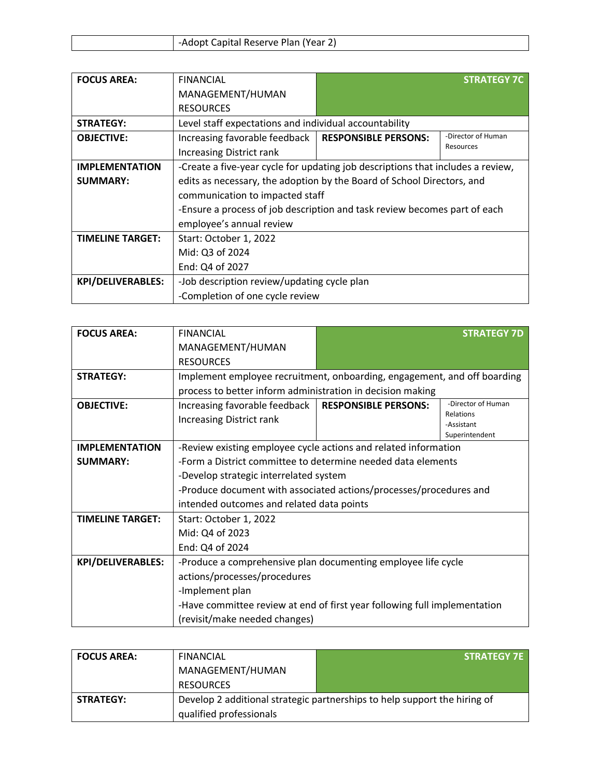| -Adopt Capital Reserve Plan (Year 2) |  |
|--------------------------------------|--|

| <b>FOCUS AREA:</b>       | <b>FINANCIAL</b>                                                                |                             | <b>STRATEGY 7C</b> |
|--------------------------|---------------------------------------------------------------------------------|-----------------------------|--------------------|
|                          | MANAGEMENT/HUMAN                                                                |                             |                    |
|                          | <b>RESOURCES</b>                                                                |                             |                    |
| <b>STRATEGY:</b>         | Level staff expectations and individual accountability                          |                             |                    |
| <b>OBJECTIVE:</b>        | Increasing favorable feedback                                                   | <b>RESPONSIBLE PERSONS:</b> | -Director of Human |
|                          | <b>Increasing District rank</b>                                                 |                             | Resources          |
| <b>IMPLEMENTATION</b>    | -Create a five-year cycle for updating job descriptions that includes a review, |                             |                    |
| <b>SUMMARY:</b>          | edits as necessary, the adoption by the Board of School Directors, and          |                             |                    |
|                          | communication to impacted staff                                                 |                             |                    |
|                          | -Ensure a process of job description and task review becomes part of each       |                             |                    |
|                          | employee's annual review                                                        |                             |                    |
| <b>TIMELINE TARGET:</b>  | Start: October 1, 2022                                                          |                             |                    |
|                          | Mid: Q3 of 2024                                                                 |                             |                    |
|                          | End: Q4 of 2027                                                                 |                             |                    |
| <b>KPI/DELIVERABLES:</b> | -Job description review/updating cycle plan                                     |                             |                    |
|                          | -Completion of one cycle review                                                 |                             |                    |

| <b>FOCUS AREA:</b>      | <b>FINANCIAL</b>                                                          |                             | <b>STRATEGY 7D</b>              |
|-------------------------|---------------------------------------------------------------------------|-----------------------------|---------------------------------|
|                         | MANAGEMENT/HUMAN                                                          |                             |                                 |
|                         | <b>RESOURCES</b>                                                          |                             |                                 |
| <b>STRATEGY:</b>        | Implement employee recruitment, onboarding, engagement, and off boarding  |                             |                                 |
|                         | process to better inform administration in decision making                |                             |                                 |
| <b>OBJECTIVE:</b>       | Increasing favorable feedback                                             | <b>RESPONSIBLE PERSONS:</b> | -Director of Human<br>Relations |
|                         | <b>Increasing District rank</b>                                           |                             | -Assistant                      |
|                         |                                                                           |                             | Superintendent                  |
| <b>IMPLEMENTATION</b>   | -Review existing employee cycle actions and related information           |                             |                                 |
| <b>SUMMARY:</b>         | -Form a District committee to determine needed data elements              |                             |                                 |
|                         | -Develop strategic interrelated system                                    |                             |                                 |
|                         | -Produce document with associated actions/processes/procedures and        |                             |                                 |
|                         | intended outcomes and related data points                                 |                             |                                 |
| <b>TIMELINE TARGET:</b> | Start: October 1, 2022                                                    |                             |                                 |
|                         | Mid: Q4 of 2023                                                           |                             |                                 |
|                         | End: Q4 of 2024                                                           |                             |                                 |
| KPI/DELIVERABLES:       | -Produce a comprehensive plan documenting employee life cycle             |                             |                                 |
|                         | actions/processes/procedures                                              |                             |                                 |
|                         | -Implement plan                                                           |                             |                                 |
|                         | -Have committee review at end of first year following full implementation |                             |                                 |
|                         | (revisit/make needed changes)                                             |                             |                                 |

| <b>FOCUS AREA:</b> | FINANCIAL               | <b>STRATEGY 7E</b>                                                        |
|--------------------|-------------------------|---------------------------------------------------------------------------|
|                    | MANAGEMENT/HUMAN        |                                                                           |
|                    | <b>RESOURCES</b>        |                                                                           |
| <b>STRATEGY:</b>   |                         | Develop 2 additional strategic partnerships to help support the hiring of |
|                    | qualified professionals |                                                                           |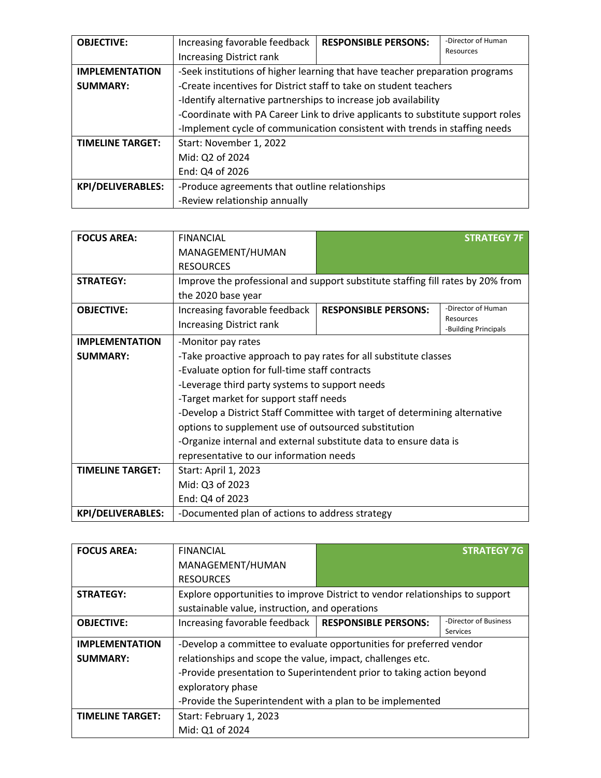| <b>OBJECTIVE:</b>        | Increasing favorable feedback                                                   | <b>RESPONSIBLE PERSONS:</b> | -Director of Human |
|--------------------------|---------------------------------------------------------------------------------|-----------------------------|--------------------|
|                          | <b>Increasing District rank</b>                                                 |                             | Resources          |
| <b>IMPLEMENTATION</b>    | -Seek institutions of higher learning that have teacher preparation programs    |                             |                    |
| <b>SUMMARY:</b>          | -Create incentives for District staff to take on student teachers               |                             |                    |
|                          | -Identify alternative partnerships to increase job availability                 |                             |                    |
|                          | -Coordinate with PA Career Link to drive applicants to substitute support roles |                             |                    |
|                          | -Implement cycle of communication consistent with trends in staffing needs      |                             |                    |
| <b>TIMELINE TARGET:</b>  | Start: November 1, 2022                                                         |                             |                    |
|                          | Mid: Q2 of 2024                                                                 |                             |                    |
|                          | End: Q4 of 2026                                                                 |                             |                    |
| <b>KPI/DELIVERABLES:</b> | -Produce agreements that outline relationships                                  |                             |                    |
|                          | -Review relationship annually                                                   |                             |                    |

| <b>FOCUS AREA:</b>       | <b>FINANCIAL</b>                                                                |                             | <b>STRATEGY 7F</b>                |
|--------------------------|---------------------------------------------------------------------------------|-----------------------------|-----------------------------------|
|                          | MANAGEMENT/HUMAN                                                                |                             |                                   |
|                          | <b>RESOURCES</b>                                                                |                             |                                   |
| <b>STRATEGY:</b>         | Improve the professional and support substitute staffing fill rates by 20% from |                             |                                   |
|                          | the 2020 base year                                                              |                             |                                   |
| <b>OBJECTIVE:</b>        | Increasing favorable feedback                                                   | <b>RESPONSIBLE PERSONS:</b> | -Director of Human                |
|                          | <b>Increasing District rank</b>                                                 |                             | Resources<br>-Building Principals |
| <b>IMPLEMENTATION</b>    | -Monitor pay rates                                                              |                             |                                   |
| <b>SUMMARY:</b>          | -Take proactive approach to pay rates for all substitute classes                |                             |                                   |
|                          | -Evaluate option for full-time staff contracts                                  |                             |                                   |
|                          | -Leverage third party systems to support needs                                  |                             |                                   |
|                          | -Target market for support staff needs                                          |                             |                                   |
|                          | -Develop a District Staff Committee with target of determining alternative      |                             |                                   |
|                          | options to supplement use of outsourced substitution                            |                             |                                   |
|                          | -Organize internal and external substitute data to ensure data is               |                             |                                   |
|                          | representative to our information needs                                         |                             |                                   |
| <b>TIMELINE TARGET:</b>  | Start: April 1, 2023                                                            |                             |                                   |
|                          | Mid: Q3 of 2023                                                                 |                             |                                   |
|                          | End: Q4 of 2023                                                                 |                             |                                   |
| <b>KPI/DELIVERABLES:</b> | -Documented plan of actions to address strategy                                 |                             |                                   |

| <b>FOCUS AREA:</b>      | <b>FINANCIAL</b>                                                             |                             | <b>STRATEGY 7G</b>                       |
|-------------------------|------------------------------------------------------------------------------|-----------------------------|------------------------------------------|
|                         | MANAGEMENT/HUMAN                                                             |                             |                                          |
|                         | <b>RESOURCES</b>                                                             |                             |                                          |
| <b>STRATEGY:</b>        | Explore opportunities to improve District to vendor relationships to support |                             |                                          |
|                         | sustainable value, instruction, and operations                               |                             |                                          |
| <b>OBJECTIVE:</b>       | Increasing favorable feedback                                                | <b>RESPONSIBLE PERSONS:</b> | -Director of Business<br><b>Services</b> |
| <b>IMPLEMENTATION</b>   | -Develop a committee to evaluate opportunities for preferred vendor          |                             |                                          |
| <b>SUMMARY:</b>         | relationships and scope the value, impact, challenges etc.                   |                             |                                          |
|                         | -Provide presentation to Superintendent prior to taking action beyond        |                             |                                          |
|                         | exploratory phase                                                            |                             |                                          |
|                         | -Provide the Superintendent with a plan to be implemented                    |                             |                                          |
| <b>TIMELINE TARGET:</b> | Start: February 1, 2023                                                      |                             |                                          |
|                         | Mid: Q1 of 2024                                                              |                             |                                          |